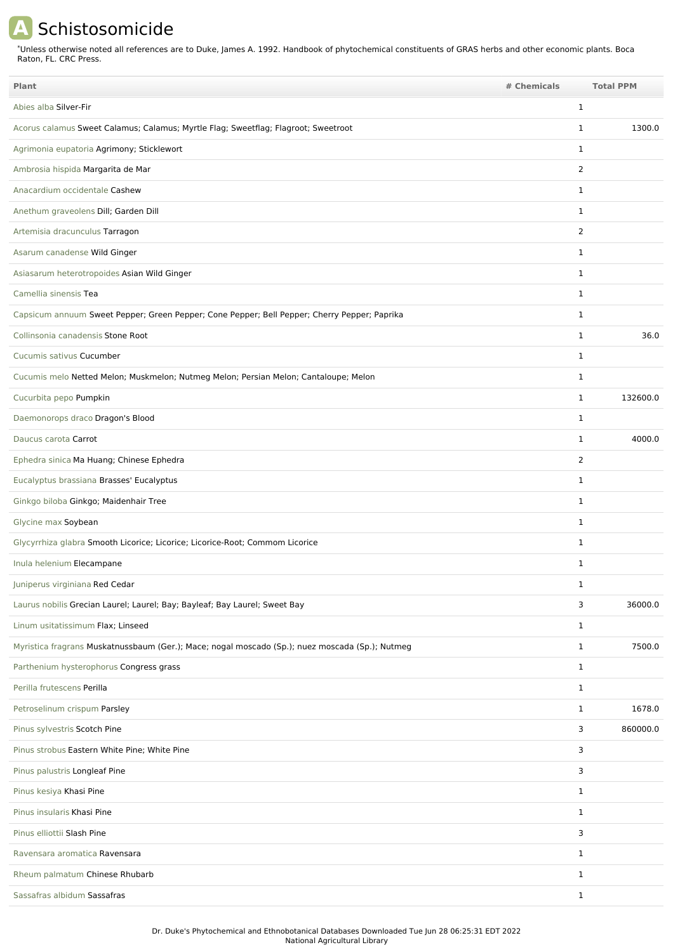## **A** Schistosomicide

\*Unless otherwise noted all references are to Duke, James A. 1992. Handbook of phytochemical constituents of GRAS herbs and other economic plants. Boca Raton, FL. CRC Press.

| Plant                                                                                           | # Chemicals    | <b>Total PPM</b> |
|-------------------------------------------------------------------------------------------------|----------------|------------------|
| Abies alba Silver-Fir                                                                           | 1              |                  |
| Acorus calamus Sweet Calamus; Calamus; Myrtle Flag; Sweetflag; Flagroot; Sweetroot              | $\mathbf{1}$   | 1300.0           |
| Agrimonia eupatoria Agrimony; Sticklewort                                                       | $\mathbf{1}$   |                  |
| Ambrosia hispida Margarita de Mar                                                               | $\overline{2}$ |                  |
| Anacardium occidentale Cashew                                                                   | 1              |                  |
| Anethum graveolens Dill; Garden Dill                                                            | 1              |                  |
| Artemisia dracunculus Tarragon                                                                  | $\overline{2}$ |                  |
| Asarum canadense Wild Ginger                                                                    | 1              |                  |
| Asiasarum heterotropoides Asian Wild Ginger                                                     | $\mathbf{1}$   |                  |
| Camellia sinensis Tea                                                                           | $\mathbf{1}$   |                  |
| Capsicum annuum Sweet Pepper; Green Pepper; Cone Pepper; Bell Pepper; Cherry Pepper; Paprika    | $\mathbf{1}$   |                  |
| Collinsonia canadensis Stone Root                                                               | $\mathbf{1}$   | 36.0             |
| Cucumis sativus Cucumber                                                                        | $\mathbf{1}$   |                  |
| Cucumis melo Netted Melon; Muskmelon; Nutmeg Melon; Persian Melon; Cantaloupe; Melon            | 1              |                  |
| Cucurbita pepo Pumpkin                                                                          | $\mathbf{1}$   | 132600.0         |
| Daemonorops draco Dragon's Blood                                                                | 1              |                  |
| Daucus carota Carrot                                                                            | $\mathbf{1}$   | 4000.0           |
| Ephedra sinica Ma Huang; Chinese Ephedra                                                        | 2              |                  |
| Eucalyptus brassiana Brasses' Eucalyptus                                                        | $\mathbf{1}$   |                  |
| Ginkgo biloba Ginkgo; Maidenhair Tree                                                           | $\mathbf{1}$   |                  |
| Glycine max Soybean                                                                             | $\mathbf{1}$   |                  |
| Glycyrrhiza glabra Smooth Licorice; Licorice; Licorice-Root; Commom Licorice                    | $\mathbf{1}$   |                  |
| Inula helenium Elecampane                                                                       | 1              |                  |
| Juniperus virginiana Red Cedar                                                                  | ı              |                  |
| Laurus nobilis Grecian Laurel; Laurel; Bay; Bayleaf; Bay Laurel; Sweet Bay                      | 3              | 36000.0          |
| Linum usitatissimum Flax; Linseed                                                               | $\mathbf{1}$   |                  |
| Myristica fragrans Muskatnussbaum (Ger.); Mace; nogal moscado (Sp.); nuez moscada (Sp.); Nutmeg | $\mathbf{1}$   | 7500.0           |
| Parthenium hysterophorus Congress grass                                                         | $\mathbf{1}$   |                  |
| Perilla frutescens Perilla                                                                      | $\mathbf{1}$   |                  |
| Petroselinum crispum Parsley                                                                    | $\mathbf{1}$   | 1678.0           |
| Pinus sylvestris Scotch Pine                                                                    | 3              | 860000.0         |
| Pinus strobus Eastern White Pine; White Pine                                                    | 3              |                  |
| Pinus palustris Longleaf Pine                                                                   | 3              |                  |
| Pinus kesiya Khasi Pine                                                                         | $\mathbf{1}$   |                  |
| Pinus insularis Khasi Pine                                                                      | $\mathbf{1}$   |                  |
| Pinus elliottii Slash Pine                                                                      | 3              |                  |
| Ravensara aromatica Ravensara                                                                   | $\mathbf{1}$   |                  |
| Rheum palmatum Chinese Rhubarb                                                                  | $\mathbf{1}$   |                  |
| Sassafras albidum Sassafras                                                                     | $\mathbf{1}$   |                  |